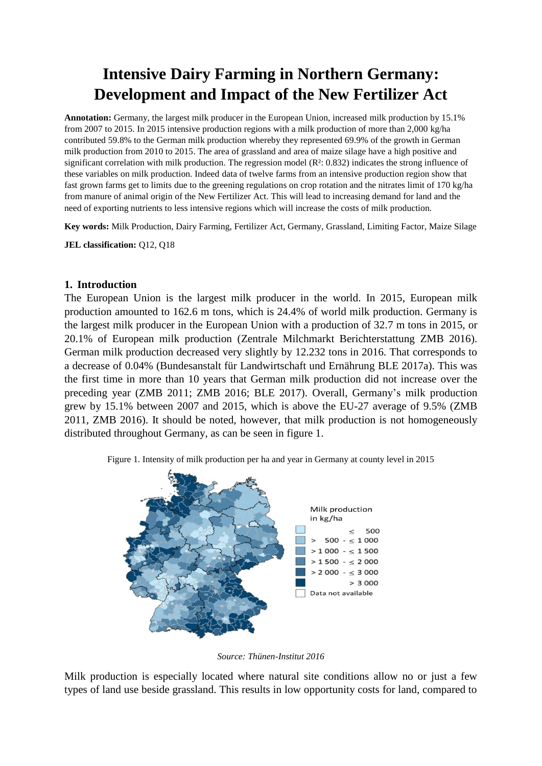# **Intensive Dairy Farming in Northern Germany: Development and Impact of the New Fertilizer Act**

**Annotation:** Germany, the largest milk producer in the European Union, increased milk production by 15.1% from 2007 to 2015. In 2015 intensive production regions with a milk production of more than 2,000 kg/ha contributed 59.8% to the German milk production whereby they represented 69.9% of the growth in German milk production from 2010 to 2015. The area of grassland and area of maize silage have a high positive and significant correlation with milk production. The regression model (R<sup>2</sup>: 0.832) indicates the strong influence of these variables on milk production. Indeed data of twelve farms from an intensive production region show that fast grown farms get to limits due to the greening regulations on crop rotation and the nitrates limit of 170 kg/ha from manure of animal origin of the New Fertilizer Act. This will lead to increasing demand for land and the need of exporting nutrients to less intensive regions which will increase the costs of milk production.

**Key words:** Milk Production, Dairy Farming, Fertilizer Act, Germany, Grassland, Limiting Factor, Maize Silage

**JEL classification:** Q12, Q18

#### **1. Introduction**

The European Union is the largest milk producer in the world. In 2015, European milk production amounted to 162.6 m tons, which is 24.4% of world milk production. Germany is the largest milk producer in the European Union with a production of 32.7 m tons in 2015, or 20.1% of European milk production (Zentrale Milchmarkt Berichterstattung ZMB 2016). German milk production decreased very slightly by 12.232 tons in 2016. That corresponds to a decrease of 0.04% (Bundesanstalt für Landwirtschaft und Ernährung BLE 2017a). This was the first time in more than 10 years that German milk production did not increase over the preceding year (ZMB 2011; ZMB 2016; BLE 2017). Overall, Germany's milk production grew by 15.1% between 2007 and 2015, which is above the EU-27 average of 9.5% (ZMB 2011, ZMB 2016). It should be noted, however, that milk production is not homogeneously distributed throughout Germany, as can be seen in figure 1.



Figure 1. Intensity of milk production per ha and year in Germany at county level in 2015

*Source: Thünen-Institut 2016*

Milk production is especially located where natural site conditions allow no or just a few types of land use beside grassland. This results in low opportunity costs for land, compared to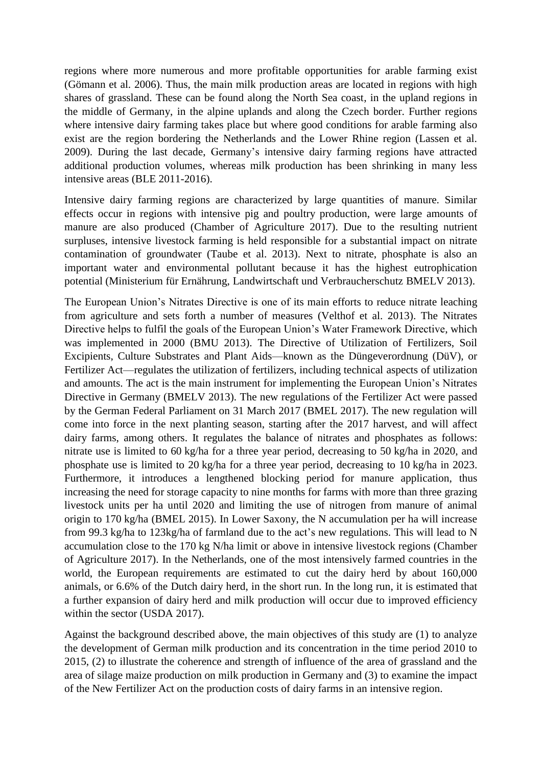regions where more numerous and more profitable opportunities for arable farming exist (Gömann et al. 2006). Thus, the main milk production areas are located in regions with high shares of grassland. These can be found along the North Sea coast, in the upland regions in the middle of Germany, in the alpine uplands and along the Czech border. Further regions where intensive dairy farming takes place but where good conditions for arable farming also exist are the region bordering the Netherlands and the Lower Rhine region (Lassen et al. 2009). During the last decade, Germany's intensive dairy farming regions have attracted additional production volumes, whereas milk production has been shrinking in many less intensive areas (BLE 2011-2016).

Intensive dairy farming regions are characterized by large quantities of manure. Similar effects occur in regions with intensive pig and poultry production, were large amounts of manure are also produced (Chamber of Agriculture 2017). Due to the resulting nutrient surpluses, intensive livestock farming is held responsible for a substantial impact on nitrate contamination of groundwater (Taube et al. 2013). Next to nitrate, phosphate is also an important water and environmental pollutant because it has the highest eutrophication potential (Ministerium für Ernährung, Landwirtschaft und Verbraucherschutz BMELV 2013).

The European Union's Nitrates Directive is one of its main efforts to reduce nitrate leaching from agriculture and sets forth a number of measures (Velthof et al. 2013). The Nitrates Directive helps to fulfil the goals of the European Union's Water Framework Directive, which was implemented in 2000 (BMU 2013). The Directive of Utilization of Fertilizers, Soil Excipients, Culture Substrates and Plant Aids—known as the Düngeverordnung (DüV), or Fertilizer Act—regulates the utilization of fertilizers, including technical aspects of utilization and amounts. The act is the main instrument for implementing the European Union's Nitrates Directive in Germany (BMELV 2013). The new regulations of the Fertilizer Act were passed by the German Federal Parliament on 31 March 2017 (BMEL 2017). The new regulation will come into force in the next planting season, starting after the 2017 harvest, and will affect dairy farms, among others. It regulates the balance of nitrates and phosphates as follows: nitrate use is limited to 60 kg/ha for a three year period, decreasing to 50 kg/ha in 2020, and phosphate use is limited to 20 kg/ha for a three year period, decreasing to 10 kg/ha in 2023. Furthermore, it introduces a lengthened blocking period for manure application, thus increasing the need for storage capacity to nine months for farms with more than three grazing livestock units per ha until 2020 and limiting the use of nitrogen from manure of animal origin to 170 kg/ha (BMEL 2015). In Lower Saxony, the N accumulation per ha will increase from 99.3 kg/ha to 123kg/ha of farmland due to the act's new regulations. This will lead to N accumulation close to the 170 kg N/ha limit or above in intensive livestock regions (Chamber of Agriculture 2017). In the Netherlands, one of the most intensively farmed countries in the world, the European requirements are estimated to cut the dairy herd by about 160,000 animals, or 6.6% of the Dutch dairy herd, in the short run. In the long run, it is estimated that a further expansion of dairy herd and milk production will occur due to improved efficiency within the sector (USDA 2017).

Against the background described above, the main objectives of this study are (1) to analyze the development of German milk production and its concentration in the time period 2010 to 2015, (2) to illustrate the coherence and strength of influence of the area of grassland and the area of silage maize production on milk production in Germany and (3) to examine the impact of the New Fertilizer Act on the production costs of dairy farms in an intensive region.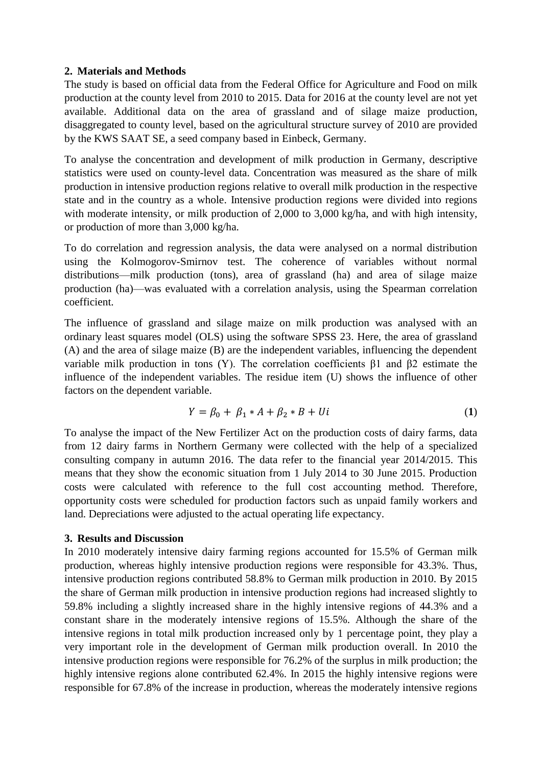## **2. Materials and Methods**

The study is based on official data from the Federal Office for Agriculture and Food on milk production at the county level from 2010 to 2015. Data for 2016 at the county level are not yet available. Additional data on the area of grassland and of silage maize production, disaggregated to county level, based on the agricultural structure survey of 2010 are provided by the KWS SAAT SE, a seed company based in Einbeck, Germany.

To analyse the concentration and development of milk production in Germany, descriptive statistics were used on county-level data. Concentration was measured as the share of milk production in intensive production regions relative to overall milk production in the respective state and in the country as a whole. Intensive production regions were divided into regions with moderate intensity, or milk production of 2,000 to 3,000 kg/ha, and with high intensity, or production of more than 3,000 kg/ha.

To do correlation and regression analysis, the data were analysed on a normal distribution using the Kolmogorov-Smirnov test. The coherence of variables without normal distributions—milk production (tons), area of grassland (ha) and area of silage maize production (ha)—was evaluated with a correlation analysis, using the Spearman correlation coefficient.

The influence of grassland and silage maize on milk production was analysed with an ordinary least squares model (OLS) using the software SPSS 23. Here, the area of grassland (A) and the area of silage maize (B) are the independent variables, influencing the dependent variable milk production in tons (Y). The correlation coefficients β1 and β2 estimate the influence of the independent variables. The residue item (U) shows the influence of other factors on the dependent variable.

$$
Y = \beta_0 + \beta_1 * A + \beta_2 * B + Ui \tag{1}
$$

To analyse the impact of the New Fertilizer Act on the production costs of dairy farms, data from 12 dairy farms in Northern Germany were collected with the help of a specialized consulting company in autumn 2016. The data refer to the financial year 2014/2015. This means that they show the economic situation from 1 July 2014 to 30 June 2015. Production costs were calculated with reference to the full cost accounting method. Therefore, opportunity costs were scheduled for production factors such as unpaid family workers and land. Depreciations were adjusted to the actual operating life expectancy.

### **3. Results and Discussion**

In 2010 moderately intensive dairy farming regions accounted for 15.5% of German milk production, whereas highly intensive production regions were responsible for 43.3%. Thus, intensive production regions contributed 58.8% to German milk production in 2010. By 2015 the share of German milk production in intensive production regions had increased slightly to 59.8% including a slightly increased share in the highly intensive regions of 44.3% and a constant share in the moderately intensive regions of 15.5%. Although the share of the intensive regions in total milk production increased only by 1 percentage point, they play a very important role in the development of German milk production overall. In 2010 the intensive production regions were responsible for 76.2% of the surplus in milk production; the highly intensive regions alone contributed 62.4%. In 2015 the highly intensive regions were responsible for 67.8% of the increase in production, whereas the moderately intensive regions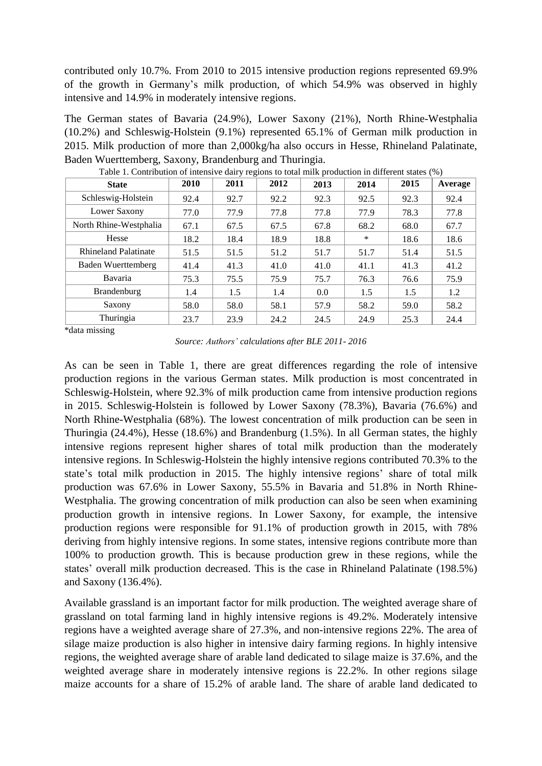contributed only 10.7%. From 2010 to 2015 intensive production regions represented 69.9% of the growth in Germany's milk production, of which 54.9% was observed in highly intensive and 14.9% in moderately intensive regions.

The German states of Bavaria (24.9%), Lower Saxony (21%), North Rhine-Westphalia (10.2%) and Schleswig-Holstein (9.1%) represented 65.1% of German milk production in 2015. Milk production of more than 2,000kg/ha also occurs in Hesse, Rhineland Palatinate, Baden Wuerttemberg, Saxony, Brandenburg and Thuringia.

| <b>State</b>                | 2010 | 2011 | 2012 | 2013 | 2014 | 2015 | Average |  |  |
|-----------------------------|------|------|------|------|------|------|---------|--|--|
| Schleswig-Holstein          | 92.4 | 92.7 | 92.2 | 92.3 | 92.5 | 92.3 | 92.4    |  |  |
| Lower Saxony                | 77.0 | 77.9 | 77.8 | 77.8 | 77.9 | 78.3 | 77.8    |  |  |
| North Rhine-Westphalia      | 67.1 | 67.5 | 67.5 | 67.8 | 68.2 | 68.0 | 67.7    |  |  |
| Hesse                       | 18.2 | 18.4 | 18.9 | 18.8 | ∗    | 18.6 | 18.6    |  |  |
| <b>Rhineland Palatinate</b> | 51.5 | 51.5 | 51.2 | 51.7 | 51.7 | 51.4 | 51.5    |  |  |
| <b>Baden Wuerttemberg</b>   | 41.4 | 41.3 | 41.0 | 41.0 | 41.1 | 41.3 | 41.2    |  |  |
| Bavaria                     | 75.3 | 75.5 | 75.9 | 75.7 | 76.3 | 76.6 | 75.9    |  |  |
| Brandenburg                 | 1.4  | 1.5  | 1.4  | 0.0  | 1.5  | 1.5  | 1.2     |  |  |
| Saxony                      | 58.0 | 58.0 | 58.1 | 57.9 | 58.2 | 59.0 | 58.2    |  |  |
| Thuringia                   | 23.7 | 23.9 | 24.2 | 24.5 | 24.9 | 25.3 | 24.4    |  |  |

| Table 1. Contribution of intensive dairy regions to total milk production in different states (%) |  |  |
|---------------------------------------------------------------------------------------------------|--|--|
|                                                                                                   |  |  |

\*data missing

*Source: Authors' calculations after BLE 2011- 2016*

As can be seen in Table 1, there are great differences regarding the role of intensive production regions in the various German states. Milk production is most concentrated in Schleswig-Holstein, where 92.3% of milk production came from intensive production regions in 2015. Schleswig-Holstein is followed by Lower Saxony (78.3%), Bavaria (76.6%) and North Rhine-Westphalia (68%). The lowest concentration of milk production can be seen in Thuringia (24.4%), Hesse (18.6%) and Brandenburg (1.5%). In all German states, the highly intensive regions represent higher shares of total milk production than the moderately intensive regions. In Schleswig-Holstein the highly intensive regions contributed 70.3% to the state's total milk production in 2015. The highly intensive regions' share of total milk production was 67.6% in Lower Saxony, 55.5% in Bavaria and 51.8% in North Rhine-Westphalia. The growing concentration of milk production can also be seen when examining production growth in intensive regions. In Lower Saxony, for example, the intensive production regions were responsible for 91.1% of production growth in 2015, with 78% deriving from highly intensive regions. In some states, intensive regions contribute more than 100% to production growth. This is because production grew in these regions, while the states' overall milk production decreased. This is the case in Rhineland Palatinate (198.5%) and Saxony (136.4%).

Available grassland is an important factor for milk production. The weighted average share of grassland on total farming land in highly intensive regions is 49.2%. Moderately intensive regions have a weighted average share of 27.3%, and non-intensive regions 22%. The area of silage maize production is also higher in intensive dairy farming regions. In highly intensive regions, the weighted average share of arable land dedicated to silage maize is 37.6%, and the weighted average share in moderately intensive regions is 22.2%. In other regions silage maize accounts for a share of 15.2% of arable land. The share of arable land dedicated to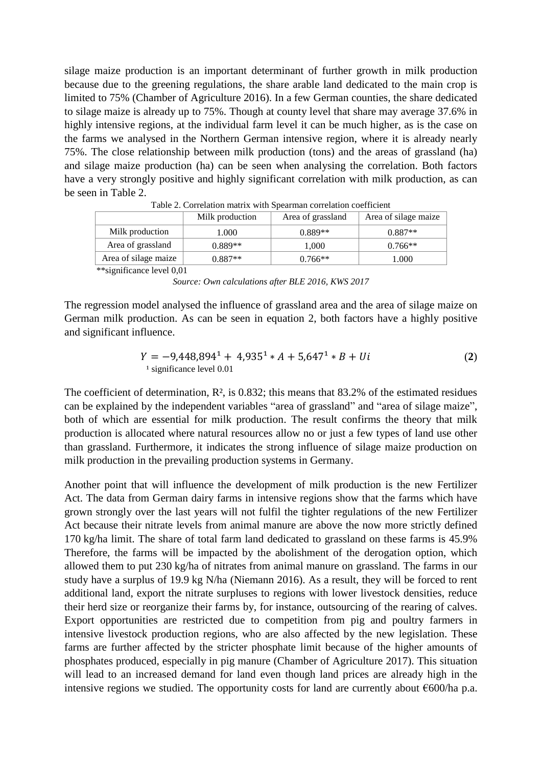silage maize production is an important determinant of further growth in milk production because due to the greening regulations, the share arable land dedicated to the main crop is limited to 75% (Chamber of Agriculture 2016). In a few German counties, the share dedicated to silage maize is already up to 75%. Though at county level that share may average 37.6% in highly intensive regions, at the individual farm level it can be much higher, as is the case on the farms we analysed in the Northern German intensive region, where it is already nearly 75%. The close relationship between milk production (tons) and the areas of grassland (ha) and silage maize production (ha) can be seen when analysing the correlation. Both factors have a very strongly positive and highly significant correlation with milk production, as can be seen in Table 2.

|                      | Milk production | Area of grassland | Area of silage maize |
|----------------------|-----------------|-------------------|----------------------|
| Milk production      | .000            | $0.889**$         | $0.887**$            |
| Area of grassland    | $0.889**$       | 1.000             | $0.766**$            |
| Area of silage maize | $0.887**$       | $0.766**$         | 1.000                |

Table 2. Correlation matrix with Spearman correlation coefficient

\*\*significance level 0,01

The regression model analysed the influence of grassland area and the area of silage maize on German milk production. As can be seen in equation 2, both factors have a highly positive and significant influence.

$$
Y = -9,448,894^{1} + 4,935^{1} * A + 5,647^{1} * B + Ui
$$
  
\n<sup>1</sup> significance level 0.01 (2)

The coefficient of determination, R², is 0.832; this means that 83.2% of the estimated residues can be explained by the independent variables "area of grassland" and "area of silage maize", both of which are essential for milk production. The result confirms the theory that milk production is allocated where natural resources allow no or just a few types of land use other than grassland. Furthermore, it indicates the strong influence of silage maize production on milk production in the prevailing production systems in Germany.

Another point that will influence the development of milk production is the new Fertilizer Act. The data from German dairy farms in intensive regions show that the farms which have grown strongly over the last years will not fulfil the tighter regulations of the new Fertilizer Act because their nitrate levels from animal manure are above the now more strictly defined 170 kg/ha limit. The share of total farm land dedicated to grassland on these farms is 45.9% Therefore, the farms will be impacted by the abolishment of the derogation option, which allowed them to put 230 kg/ha of nitrates from animal manure on grassland. The farms in our study have a surplus of 19.9 kg N/ha (Niemann 2016). As a result, they will be forced to rent additional land, export the nitrate surpluses to regions with lower livestock densities, reduce their herd size or reorganize their farms by, for instance, outsourcing of the rearing of calves. Export opportunities are restricted due to competition from pig and poultry farmers in intensive livestock production regions, who are also affected by the new legislation. These farms are further affected by the stricter phosphate limit because of the higher amounts of phosphates produced, especially in pig manure (Chamber of Agriculture 2017). This situation will lead to an increased demand for land even though land prices are already high in the intensive regions we studied. The opportunity costs for land are currently about  $\epsilon$ 600/ha p.a.

*Source: Own calculations after BLE 2016, KWS 2017*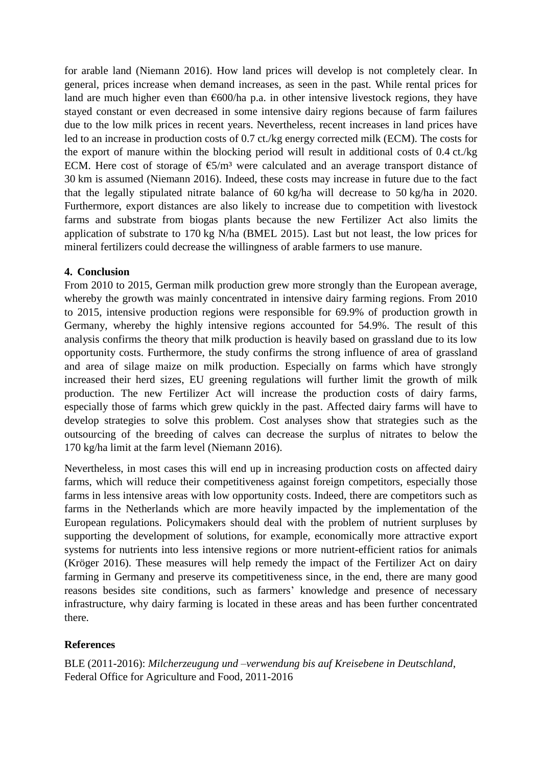for arable land (Niemann 2016). How land prices will develop is not completely clear. In general, prices increase when demand increases, as seen in the past. While rental prices for land are much higher even than  $\epsilon$ 600/ha p.a. in other intensive livestock regions, they have stayed constant or even decreased in some intensive dairy regions because of farm failures due to the low milk prices in recent years. Nevertheless, recent increases in land prices have led to an increase in production costs of 0.7 ct./kg energy corrected milk (ECM). The costs for the export of manure within the blocking period will result in additional costs of 0.4 ct./kg ECM. Here cost of storage of  $\epsilon$ 5/m<sup>3</sup> were calculated and an average transport distance of 30 km is assumed (Niemann 2016). Indeed, these costs may increase in future due to the fact that the legally stipulated nitrate balance of 60 kg/ha will decrease to 50 kg/ha in 2020. Furthermore, export distances are also likely to increase due to competition with livestock farms and substrate from biogas plants because the new Fertilizer Act also limits the application of substrate to 170 kg N/ha (BMEL 2015). Last but not least, the low prices for mineral fertilizers could decrease the willingness of arable farmers to use manure.

## **4. Conclusion**

From 2010 to 2015, German milk production grew more strongly than the European average, whereby the growth was mainly concentrated in intensive dairy farming regions. From 2010 to 2015, intensive production regions were responsible for 69.9% of production growth in Germany, whereby the highly intensive regions accounted for 54.9%. The result of this analysis confirms the theory that milk production is heavily based on grassland due to its low opportunity costs. Furthermore, the study confirms the strong influence of area of grassland and area of silage maize on milk production. Especially on farms which have strongly increased their herd sizes, EU greening regulations will further limit the growth of milk production. The new Fertilizer Act will increase the production costs of dairy farms, especially those of farms which grew quickly in the past. Affected dairy farms will have to develop strategies to solve this problem. Cost analyses show that strategies such as the outsourcing of the breeding of calves can decrease the surplus of nitrates to below the 170 kg/ha limit at the farm level (Niemann 2016).

Nevertheless, in most cases this will end up in increasing production costs on affected dairy farms, which will reduce their competitiveness against foreign competitors, especially those farms in less intensive areas with low opportunity costs. Indeed, there are competitors such as farms in the Netherlands which are more heavily impacted by the implementation of the European regulations. Policymakers should deal with the problem of nutrient surpluses by supporting the development of solutions, for example, economically more attractive export systems for nutrients into less intensive regions or more nutrient-efficient ratios for animals (Kröger 2016). These measures will help remedy the impact of the Fertilizer Act on dairy farming in Germany and preserve its competitiveness since, in the end, there are many good reasons besides site conditions, such as farmers' knowledge and presence of necessary infrastructure, why dairy farming is located in these areas and has been further concentrated there.

## **References**

BLE (2011-2016): *Milcherzeugung und –verwendung bis auf Kreisebene in Deutschland*, Federal Office for Agriculture and Food, 2011-2016